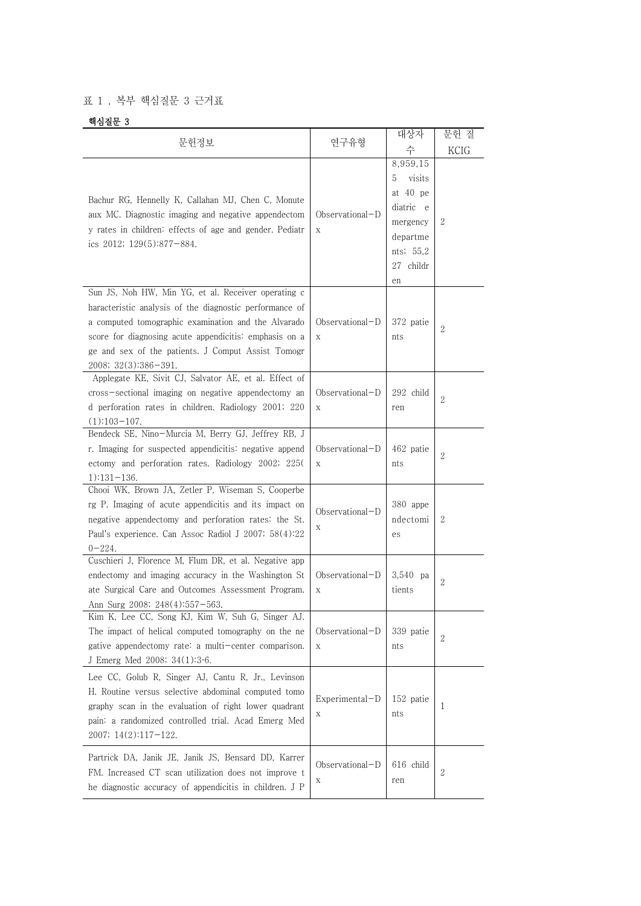## 표 1 . 복부 핵심질문 3 근거표

## 핵심질문 3

| 문헌정보                                                                                                                                                                                                                                                                                                          | 연구유형                   | 대상자<br>수                                                                                                 | 문헌 질<br><b>KCIG</b> |
|---------------------------------------------------------------------------------------------------------------------------------------------------------------------------------------------------------------------------------------------------------------------------------------------------------------|------------------------|----------------------------------------------------------------------------------------------------------|---------------------|
| Bachur RG, Hennelly K, Callahan MJ, Chen C, Monute<br>aux MC. Diagnostic imaging and negative appendectom<br>y rates in children: effects of age and gender. Pediatr<br>ics 2012; 129(5):877-884.                                                                                                             | Observational-D<br>X   | 8,959,15<br>visits<br>5<br>at 40 pe<br>diatric e<br>mergency<br>departme<br>nts; 55,2<br>27 childr<br>en | 2                   |
| Sun JS, Noh HW, Min YG, et al. Receiver operating c<br>haracteristic analysis of the diagnostic performance of<br>a computed tomographic examination and the Alvarado<br>score for diagnosing acute appendicitis: emphasis on a<br>ge and sex of the patients. J Comput Assist Tomogr<br>2008; 32(3):386-391. | $Observational-D$<br>X | 372 patie<br>nts                                                                                         | 2                   |
| Applegate KE, Sivit CJ, Salvator AE, et al. Effect of<br>cross-sectional imaging on negative appendectomy an<br>d perforation rates in children. Radiology 2001; 220<br>$(1):103-107.$                                                                                                                        | $Observational-D$<br>X | 292 child<br>ren                                                                                         | $\overline{2}$      |
| Bendeck SE, Nino-Murcia M, Berry GJ, Jeffrey RB, J<br>r. Imaging for suspected appendicitis: negative append<br>ectomy and perforation rates. Radiology 2002; 225(<br>$1):131-136.$                                                                                                                           | Observational-D<br>X   | 462 patie<br>nts                                                                                         | 2                   |
| Chooi WK, Brown JA, Zetler P, Wiseman S, Cooperbe<br>rg P. Imaging of acute appendicitis and its impact on<br>negative appendectomy and perforation rates: the St.<br>Paul's experience. Can Assoc Radiol J 2007; 58(4):22<br>$0 - 224.$                                                                      | Observational-D<br>Х   | 380 appe<br>ndectomi<br>es                                                                               | 2                   |
| Cuschieri J, Florence M, Flum DR, et al. Negative app<br>endectomy and imaging accuracy in the Washington St<br>ate Surgical Care and Outcomes Assessment Program.<br>Ann Surg 2008; 248(4):557-563.                                                                                                          | Observational-D<br>X   | $3,540$ pa<br>tients                                                                                     | 2                   |
| Kim K, Lee CC, Song KJ, Kim W, Suh G, Singer AJ.<br>The impact of helical computed tomography on the ne<br>gative appendectomy rate: a multi-center comparison.<br>J Emerg Med 2008; 34(1):3-6.                                                                                                               | Observational-D<br>X   | 339 patie<br>nts                                                                                         | 2                   |
| Lee CC, Golub R, Singer AJ, Cantu R, Jr., Levinson<br>H. Routine versus selective abdominal computed tomo<br>graphy scan in the evaluation of right lower quadrant<br>pain: a randomized controlled trial. Acad Emerg Med<br>$2007; 14(2):117-122.$                                                           | $Experimental-D$<br>Χ  | 152 patie<br>nts                                                                                         | 1                   |
| Partrick DA, Janik JE, Janik JS, Bensard DD, Karrer<br>FM. Increased CT scan utilization does not improve t<br>he diagnostic accuracy of appendicitis in children. J P                                                                                                                                        | Observational-D<br>Χ   | 616 child<br>ren                                                                                         | 2                   |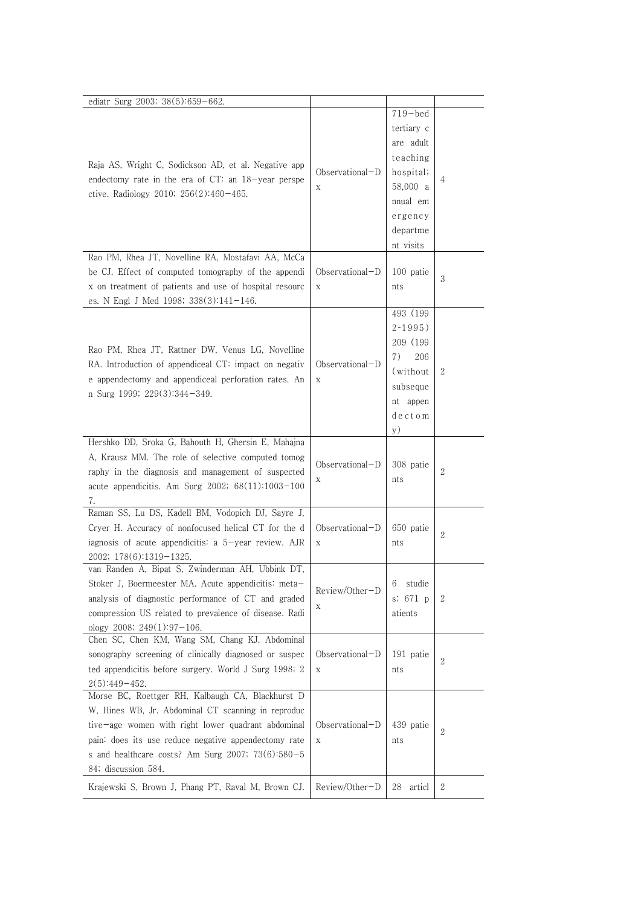| ediatr Surg 2003; 38(5):659-662.                                                                                                                                                                                                                                                                   |                                |                                                                                                                             |                |
|----------------------------------------------------------------------------------------------------------------------------------------------------------------------------------------------------------------------------------------------------------------------------------------------------|--------------------------------|-----------------------------------------------------------------------------------------------------------------------------|----------------|
| Raja AS, Wright C, Sodickson AD, et al. Negative app<br>endectomy rate in the era of $CT$ : an $18$ -year perspe<br>ctive. Radiology 2010; $256(2):460-465$ .<br>Rao PM, Rhea JT, Novelline RA, Mostafavi AA, McCa                                                                                 | Observational-D<br>$\mathbf X$ | $719 - bed$<br>tertiary c<br>are adult<br>teaching<br>hospital;<br>58,000 a<br>nnual em<br>ergency<br>departme<br>nt visits | 4              |
| be CJ. Effect of computed tomography of the appendi<br>x on treatment of patients and use of hospital resourc<br>es. N Engl J Med 1998; 338(3):141-146.                                                                                                                                            | Observational-D<br>$\mathbf X$ | 100 patie<br>nts                                                                                                            | 3              |
| Rao PM, Rhea JT, Rattner DW, Venus LG, Novelline<br>RA. Introduction of appendiceal CT: impact on negativ<br>e appendectomy and appendiceal perforation rates. An<br>n Surg 1999; 229(3):344-349.                                                                                                  | Observational-D<br>$\mathbf X$ | 493 (199<br>$2 - 1995$ )<br>209 (199<br>7)<br>206<br>(without)<br>subseque<br>nt appen<br>dectom<br>y)                      | 2              |
| Hershko DD, Sroka G, Bahouth H, Ghersin E, Mahajna<br>A, Krausz MM. The role of selective computed tomog<br>raphy in the diagnosis and management of suspected<br>acute appendicitis. Am Surg 2002; 68(11):1003-100<br>7.                                                                          | Observational-D<br>$\mathbf X$ | 308 patie<br>nts                                                                                                            | $\mathbf{2}$   |
| Raman SS, Lu DS, Kadell BM, Vodopich DJ, Sayre J,<br>Cryer H. Accuracy of nonfocused helical CT for the d<br>iagnosis of acute appendicitis: a 5-year review. AJR<br>2002; 178(6):1319-1325.                                                                                                       | Observational-D<br>X           | 650 patie<br>nts                                                                                                            | 2              |
| van Randen A, Bipat S, Zwinderman AH, Ubbink DT,<br>Stoker J, Boermeester MA. Acute appendicitis: meta-<br>analysis of diagnostic performance of CT and graded<br>compression US related to prevalence of disease. Radi<br>ology 2008; $249(1):97-106$ .                                           | Review/Other-D<br>$\mathbf X$  | 6<br>studie<br>s; $671p$<br>atients                                                                                         | 2              |
| Chen SC, Chen KM, Wang SM, Chang KJ. Abdominal<br>sonography screening of clinically diagnosed or suspec<br>ted appendicitis before surgery. World J Surg 1998; 2<br>$2(5):449-452.$                                                                                                               | Observational-D<br>$\mathbf X$ | 191 patie<br>nts                                                                                                            | $\overline{2}$ |
| Morse BC, Roettger RH, Kalbaugh CA, Blackhurst D<br>W, Hines WB, Jr. Abdominal CT scanning in reproduc<br>tive-age women with right lower quadrant abdominal<br>pain: does its use reduce negative appendectomy rate<br>s and healthcare costs? Am Surg 2007; $73(6):580-5$<br>84; discussion 584. | Observational-D<br>$\mathbf X$ | 439 patie<br>nts                                                                                                            | 2              |
| Krajewski S, Brown J, Phang PT, Raval M, Brown CJ.                                                                                                                                                                                                                                                 | Review/Other-D                 | 28<br>articl                                                                                                                | $\mathbf{2}$   |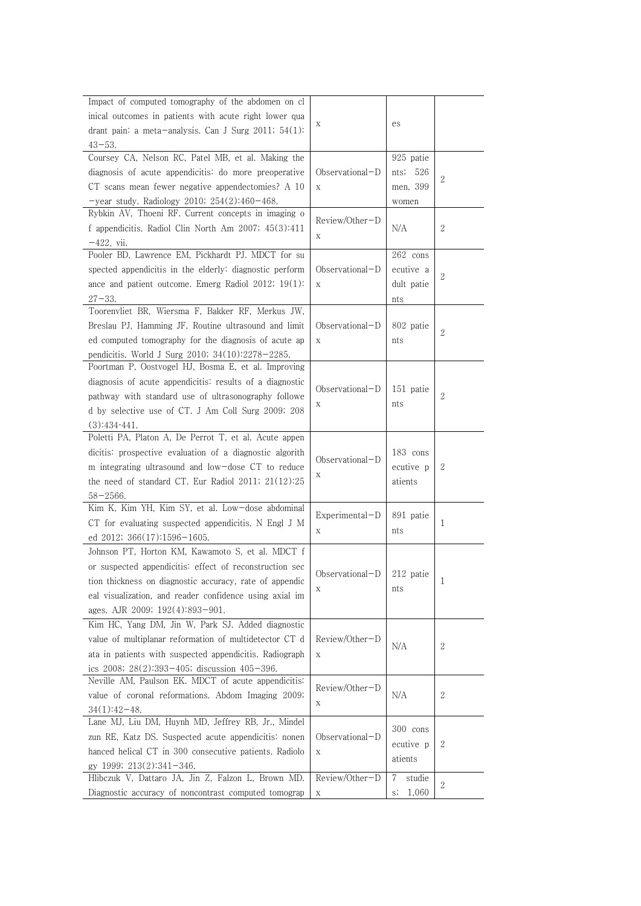| Impact of computed tomography of the abdomen on cl       |                                |             |                |
|----------------------------------------------------------|--------------------------------|-------------|----------------|
| inical outcomes in patients with acute right lower qua   |                                |             |                |
| drant pain: a meta-analysis. Can J Surg 2011; $54(1)$ :  | $\mathbf X$                    | es          |                |
| $43 - 53$ .                                              |                                |             |                |
| Coursey CA, Nelson RC, Patel MB, et al. Making the       |                                | 925 patie   |                |
| diagnosis of acute appendicitis: do more preoperative    | Observational-D                | nts; $526$  |                |
| CT scans mean fewer negative appendectomies? A 10        | $\mathbf X$                    | men, 399    | 2              |
| -year study. Radiology 2010; $254(2):460-468$ .          |                                | women       |                |
| Rybkin AV, Thoeni RF. Current concepts in imaging o      |                                |             |                |
| f appendicitis. Radiol Clin North Am 2007; 45(3):411     | Review/Other-D                 | N/A         | 2              |
| $-422$ , vii.                                            | Χ                              |             |                |
| Pooler BD, Lawrence EM, Pickhardt PJ. MDCT for su        |                                | 262 cons    |                |
| spected appendicitis in the elderly: diagnostic perform  | $Observational-D$              | ecutive a   |                |
| ance and patient outcome. Emerg Radiol 2012; $19(1)$ :   | $\mathbf X$                    | dult patie  | $\mathbf{2}$   |
| $27 - 33$ .                                              |                                | nts         |                |
| Toorenvliet BR, Wiersma F, Bakker RF, Merkus JW,         |                                |             |                |
| Breslau PJ, Hamming JF. Routine ultrasound and limit     | $Observational-D$              | 802 patie   | $\mathbf{2}$   |
| ed computed tomography for the diagnosis of acute ap     | $\mathbf X$                    | nts         |                |
| pendicitis. World J Surg 2010; 34(10):2278-2285.         |                                |             |                |
| Poortman P, Oostvogel HJ, Bosma E, et al. Improving      |                                |             |                |
| diagnosis of acute appendicitis: results of a diagnostic | Observational-D                | 151 patie   |                |
| pathway with standard use of ultrasonography followe     |                                |             | $\overline{2}$ |
| d by selective use of CT. J Am Coll Surg 2009; 208       | Χ                              | nts         |                |
| $(3):434-441.$                                           |                                |             |                |
| Poletti PA, Platon A, De Perrot T, et al. Acute appen    |                                |             |                |
| dicitis: prospective evaluation of a diagnostic algorith | Observational-D                | 183 cons    |                |
| m integrating ultrasound and low-dose CT to reduce       | Χ                              | ecutive p   | $\mathbf{2}$   |
| the need of standard CT. Eur Radiol $2011$ ; $21(12):25$ |                                | atients     |                |
| $58 - 2566$ .                                            |                                |             |                |
| Kim K, Kim YH, Kim SY, et al. Low-dose abdominal         | Experimental-D                 | 891 patie   |                |
| CT for evaluating suspected appendicitis. N Engl J M     | Χ                              | nts         | 1              |
| ed 2012; 366(17):1596-1605.                              |                                |             |                |
| Johnson PT, Horton KM, Kawamoto S, et al. MDCT f         |                                |             |                |
| or suspected appendicitis: effect of reconstruction sec  | Observational- $D$   212 patie |             |                |
| tion thickness on diagnostic accuracy, rate of appendic  | Х                              | nts         | 1              |
| eal visualization, and reader confidence using axial im  |                                |             |                |
| ages. AJR 2009; 192(4):893-901.                          |                                |             |                |
| Kim HC, Yang DM, Jin W, Park SJ. Added diagnostic        |                                |             |                |
| value of multiplanar reformation of multidetector CT d   | Review/Other-D                 | N/A         | 2              |
| ata in patients with suspected appendicitis. Radiograph  | Χ                              |             |                |
| ics $2008$ ; $28(2)$ :393-405; discussion $405-396$ .    |                                |             |                |
| Neville AM, Paulson EK. MDCT of acute appendicitis:      | Review/Other-D                 |             |                |
| value of coronal reformations. Abdom Imaging 2009;       | Χ                              | N/A         | 2              |
| $34(1):42-48.$                                           |                                |             |                |
| Lane MJ, Liu DM, Huynh MD, Jeffrey RB, Jr., Mindel       |                                | 300 cons    |                |
| zun RE, Katz DS. Suspected acute appendicitis: nonen     | Observational-D                | ecutive p   | 2              |
| hanced helical CT in 300 consecutive patients. Radiolo   | $\mathbf X$                    | atients     |                |
| gy 1999; 213(2):341-346.                                 |                                |             |                |
| Hlibczuk V, Dattaro JA, Jin Z, Falzon L, Brown MD.       | Review/Other-D                 | studie<br>7 | $\mathbf{2}$   |
| Diagnostic accuracy of noncontrast computed tomograp     | $\mathbf X$                    | s;<br>1,060 |                |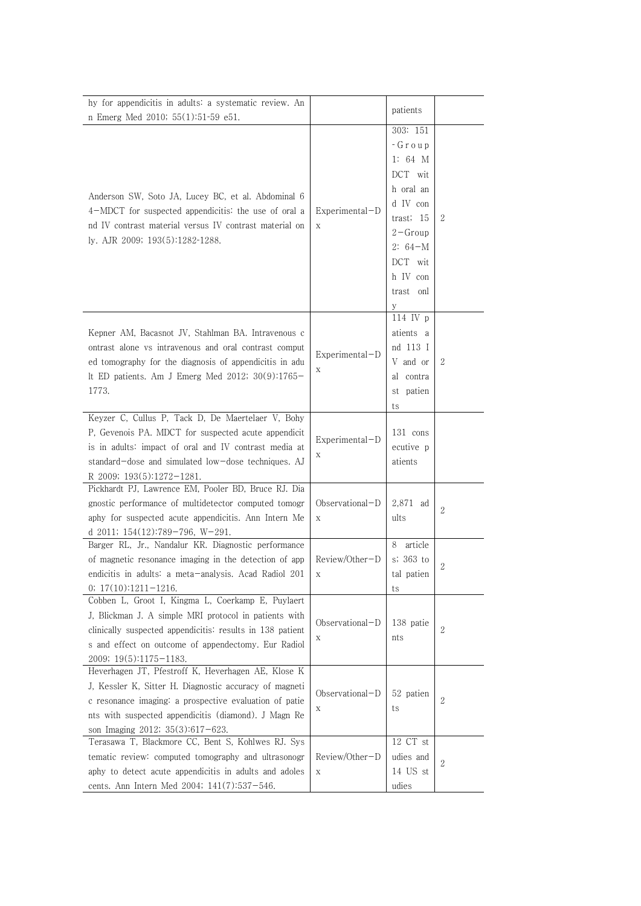| hy for appendicitis in adults: a systematic review. An                                                                                                                                                                                                                |                                | patients                                                                                                                                               |              |
|-----------------------------------------------------------------------------------------------------------------------------------------------------------------------------------------------------------------------------------------------------------------------|--------------------------------|--------------------------------------------------------------------------------------------------------------------------------------------------------|--------------|
| n Emerg Med 2010; 55(1):51-59 e51.                                                                                                                                                                                                                                    |                                |                                                                                                                                                        |              |
| Anderson SW, Soto JA, Lucey BC, et al. Abdominal 6<br>4-MDCT for suspected appendicitis: the use of oral a<br>nd IV contrast material versus IV contrast material on<br>ly. AJR 2009; 193(5):1282-1288.                                                               | Experimental-D<br>$\mathbf X$  | 303: 151<br>- Group<br>1: $64$ M<br>DCT wit<br>h oral an<br>d IV con<br>trast; 15<br>$2 - Group$<br>$2: 64-M$<br>DCT wit<br>h IV con<br>trast onl<br>У | $\mathbf{2}$ |
| Kepner AM, Bacasnot JV, Stahlman BA. Intravenous c<br>ontrast alone vs intravenous and oral contrast comput<br>ed tomography for the diagnosis of appendicitis in adu<br>lt ED patients. Am J Emerg Med 2012; 30(9):1765-<br>1773.                                    | $Experimental-D$<br>Χ          | 114 IV p<br>atients a<br>nd 113 I<br>V and or<br>al contra<br>st patien<br>ts                                                                          | $\mathbf{2}$ |
| Keyzer C, Cullus P, Tack D, De Maertelaer V, Bohy<br>P, Gevenois PA. MDCT for suspected acute appendicit<br>is in adults: impact of oral and IV contrast media at<br>standard-dose and simulated low-dose techniques. AJ<br>R 2009; 193(5):1272-1281.                 | Experimental-D<br>Χ            | 131 cons<br>ecutive p<br>atients                                                                                                                       |              |
| Pickhardt PJ, Lawrence EM, Pooler BD, Bruce RJ. Dia<br>gnostic performance of multidetector computed tomogr<br>aphy for suspected acute appendicitis. Ann Intern Me<br>d 2011; $154(12):789-796$ , W-291.                                                             | Observational-D<br>$\mathbf X$ | 2,871 ad<br>ults                                                                                                                                       | $\sqrt{2}$   |
| Barger RL, Jr., Nandalur KR. Diagnostic performance<br>of magnetic resonance imaging in the detection of app<br>endicitis in adults: a meta-analysis. Acad Radiol 201<br>$0; 17(10):1211-1216.$                                                                       | Review/Other-D<br>Χ            | 8<br>article<br>s; 363 to<br>tal patien<br>ts                                                                                                          | $\mathbf{2}$ |
| Cobben L, Groot I, Kingma L, Coerkamp E, Puylaert<br>J, Blickman J. A simple MRI protocol in patients with<br>clinically suspected appendicitis: results in 138 patient<br>s and effect on outcome of appendectomy. Eur Radiol<br>$2009; 19(5):1175-1183.$            | Observational-D<br>Χ           | 138 patie<br>nts                                                                                                                                       | 2            |
| Heverhagen JT, Pfestroff K, Heverhagen AE, Klose K<br>J, Kessler K, Sitter H. Diagnostic accuracy of magneti<br>c resonance imaging: a prospective evaluation of patie<br>nts with suspected appendicitis (diamond). J Magn Re<br>son Imaging 2012; $35(3):617-623$ . | Observational-D<br>Χ           | 52 patien<br>ts                                                                                                                                        | 2            |
| Terasawa T, Blackmore CC, Bent S, Kohlwes RJ. Sys<br>tematic review: computed tomography and ultrasonogr<br>aphy to detect acute appendicitis in adults and adoles<br>cents. Ann Intern Med 2004; 141(7):537-546.                                                     | Review/Other-D<br>Χ            | 12 CT st<br>udies and<br>14 US st<br>udies                                                                                                             | 2            |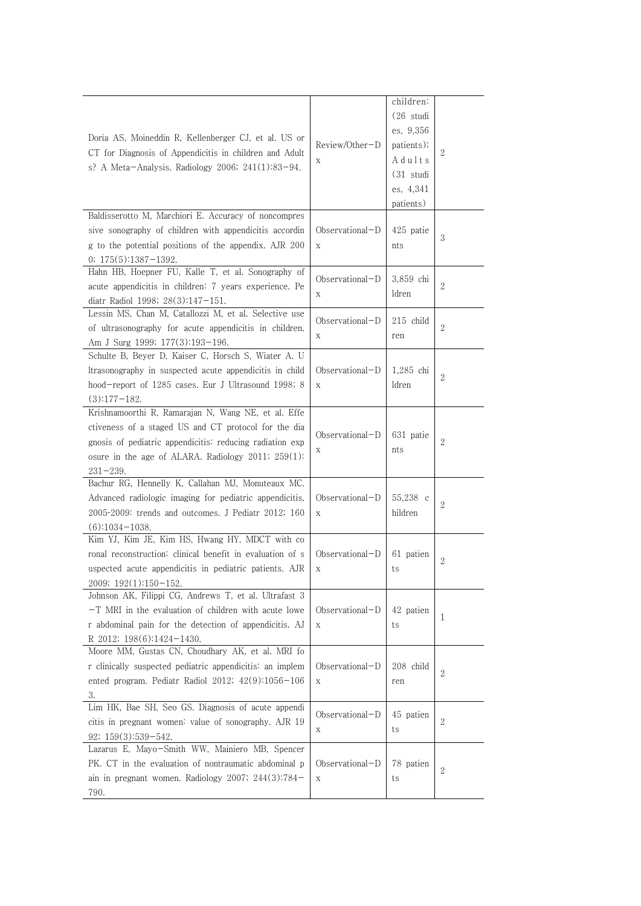| children:<br>$(26$ studi<br>es, 9,356<br>Doria AS, Moineddin R, Kellenberger CJ, et al. US or<br>Review/Other-D<br>patients);<br>2<br>CT for Diagnosis of Appendicitis in children and Adult<br>Adults<br>Χ<br>s? A Meta-Analysis. Radiology 2006; $241(1):83-94$ .<br>$(31$ studi<br>es, 4,341<br>patients)<br>Baldisserotto M, Marchiori E. Accuracy of noncompres<br>sive sonography of children with appendicitis accordin<br>Observational-D<br>425 patie<br>3<br>g to the potential positions of the appendix. AJR 200<br>X<br>nts<br>$0; 175(5):1387-1392.$<br>Hahn HB, Hoepner FU, Kalle T, et al. Sonography of<br>Observational-D<br>3,859 chi<br>2<br>acute appendicitis in children: 7 years experience. Pe<br>ldren<br>Χ<br>diatr Radiol 1998; 28(3):147-151.<br>Lessin MS, Chan M, Catallozzi M, et al. Selective use<br>$Observational-D$<br>215 child<br>2<br>of ultrasonography for acute appendicitis in children.<br>$\mathbf X$<br>ren<br>Am J Surg 1999; 177(3):193-196.<br>Schulte B, Beyer D, Kaiser C, Horsch S, Wiater A. U<br>Itrasonography in suspected acute appendicitis in child<br>$Observational-D$<br>1,285 chi<br>2<br>hood-report of 1285 cases. Eur J Ultrasound 1998; 8<br>ldren<br>X<br>$(3):177-182.$<br>Krishnamoorthi R, Ramarajan N, Wang NE, et al. Effe<br>ctiveness of a staged US and CT protocol for the dia<br>Observational-D<br>631 patie<br>2<br>gnosis of pediatric appendicitis: reducing radiation exp<br>nts<br>Х<br>osure in the age of ALARA. Radiology $2011$ ; $259(1)$ :<br>$231 - 239.$<br>Bachur RG, Hennelly K, Callahan MJ, Monuteaux MC.<br>Observational-D<br>Advanced radiologic imaging for pediatric appendicitis,<br>55,238 c<br>2<br>2005-2009: trends and outcomes. J Pediatr 2012; 160<br>hildren<br>X<br>$(6):1034-1038.$<br>Kim YJ, Kim JE, Kim HS, Hwang HY. MDCT with co<br>ronal reconstruction: clinical benefit in evaluation of s<br>Observational-D<br>61 patien |
|-----------------------------------------------------------------------------------------------------------------------------------------------------------------------------------------------------------------------------------------------------------------------------------------------------------------------------------------------------------------------------------------------------------------------------------------------------------------------------------------------------------------------------------------------------------------------------------------------------------------------------------------------------------------------------------------------------------------------------------------------------------------------------------------------------------------------------------------------------------------------------------------------------------------------------------------------------------------------------------------------------------------------------------------------------------------------------------------------------------------------------------------------------------------------------------------------------------------------------------------------------------------------------------------------------------------------------------------------------------------------------------------------------------------------------------------------------------------------------------------------------------------------------------------------------------------------------------------------------------------------------------------------------------------------------------------------------------------------------------------------------------------------------------------------------------------------------------------------------------------------------------------------------------------------------------------------------|
|                                                                                                                                                                                                                                                                                                                                                                                                                                                                                                                                                                                                                                                                                                                                                                                                                                                                                                                                                                                                                                                                                                                                                                                                                                                                                                                                                                                                                                                                                                                                                                                                                                                                                                                                                                                                                                                                                                                                                     |
|                                                                                                                                                                                                                                                                                                                                                                                                                                                                                                                                                                                                                                                                                                                                                                                                                                                                                                                                                                                                                                                                                                                                                                                                                                                                                                                                                                                                                                                                                                                                                                                                                                                                                                                                                                                                                                                                                                                                                     |
|                                                                                                                                                                                                                                                                                                                                                                                                                                                                                                                                                                                                                                                                                                                                                                                                                                                                                                                                                                                                                                                                                                                                                                                                                                                                                                                                                                                                                                                                                                                                                                                                                                                                                                                                                                                                                                                                                                                                                     |
|                                                                                                                                                                                                                                                                                                                                                                                                                                                                                                                                                                                                                                                                                                                                                                                                                                                                                                                                                                                                                                                                                                                                                                                                                                                                                                                                                                                                                                                                                                                                                                                                                                                                                                                                                                                                                                                                                                                                                     |
|                                                                                                                                                                                                                                                                                                                                                                                                                                                                                                                                                                                                                                                                                                                                                                                                                                                                                                                                                                                                                                                                                                                                                                                                                                                                                                                                                                                                                                                                                                                                                                                                                                                                                                                                                                                                                                                                                                                                                     |
|                                                                                                                                                                                                                                                                                                                                                                                                                                                                                                                                                                                                                                                                                                                                                                                                                                                                                                                                                                                                                                                                                                                                                                                                                                                                                                                                                                                                                                                                                                                                                                                                                                                                                                                                                                                                                                                                                                                                                     |
|                                                                                                                                                                                                                                                                                                                                                                                                                                                                                                                                                                                                                                                                                                                                                                                                                                                                                                                                                                                                                                                                                                                                                                                                                                                                                                                                                                                                                                                                                                                                                                                                                                                                                                                                                                                                                                                                                                                                                     |
|                                                                                                                                                                                                                                                                                                                                                                                                                                                                                                                                                                                                                                                                                                                                                                                                                                                                                                                                                                                                                                                                                                                                                                                                                                                                                                                                                                                                                                                                                                                                                                                                                                                                                                                                                                                                                                                                                                                                                     |
|                                                                                                                                                                                                                                                                                                                                                                                                                                                                                                                                                                                                                                                                                                                                                                                                                                                                                                                                                                                                                                                                                                                                                                                                                                                                                                                                                                                                                                                                                                                                                                                                                                                                                                                                                                                                                                                                                                                                                     |
|                                                                                                                                                                                                                                                                                                                                                                                                                                                                                                                                                                                                                                                                                                                                                                                                                                                                                                                                                                                                                                                                                                                                                                                                                                                                                                                                                                                                                                                                                                                                                                                                                                                                                                                                                                                                                                                                                                                                                     |
|                                                                                                                                                                                                                                                                                                                                                                                                                                                                                                                                                                                                                                                                                                                                                                                                                                                                                                                                                                                                                                                                                                                                                                                                                                                                                                                                                                                                                                                                                                                                                                                                                                                                                                                                                                                                                                                                                                                                                     |
|                                                                                                                                                                                                                                                                                                                                                                                                                                                                                                                                                                                                                                                                                                                                                                                                                                                                                                                                                                                                                                                                                                                                                                                                                                                                                                                                                                                                                                                                                                                                                                                                                                                                                                                                                                                                                                                                                                                                                     |
|                                                                                                                                                                                                                                                                                                                                                                                                                                                                                                                                                                                                                                                                                                                                                                                                                                                                                                                                                                                                                                                                                                                                                                                                                                                                                                                                                                                                                                                                                                                                                                                                                                                                                                                                                                                                                                                                                                                                                     |
|                                                                                                                                                                                                                                                                                                                                                                                                                                                                                                                                                                                                                                                                                                                                                                                                                                                                                                                                                                                                                                                                                                                                                                                                                                                                                                                                                                                                                                                                                                                                                                                                                                                                                                                                                                                                                                                                                                                                                     |
|                                                                                                                                                                                                                                                                                                                                                                                                                                                                                                                                                                                                                                                                                                                                                                                                                                                                                                                                                                                                                                                                                                                                                                                                                                                                                                                                                                                                                                                                                                                                                                                                                                                                                                                                                                                                                                                                                                                                                     |
|                                                                                                                                                                                                                                                                                                                                                                                                                                                                                                                                                                                                                                                                                                                                                                                                                                                                                                                                                                                                                                                                                                                                                                                                                                                                                                                                                                                                                                                                                                                                                                                                                                                                                                                                                                                                                                                                                                                                                     |
|                                                                                                                                                                                                                                                                                                                                                                                                                                                                                                                                                                                                                                                                                                                                                                                                                                                                                                                                                                                                                                                                                                                                                                                                                                                                                                                                                                                                                                                                                                                                                                                                                                                                                                                                                                                                                                                                                                                                                     |
|                                                                                                                                                                                                                                                                                                                                                                                                                                                                                                                                                                                                                                                                                                                                                                                                                                                                                                                                                                                                                                                                                                                                                                                                                                                                                                                                                                                                                                                                                                                                                                                                                                                                                                                                                                                                                                                                                                                                                     |
|                                                                                                                                                                                                                                                                                                                                                                                                                                                                                                                                                                                                                                                                                                                                                                                                                                                                                                                                                                                                                                                                                                                                                                                                                                                                                                                                                                                                                                                                                                                                                                                                                                                                                                                                                                                                                                                                                                                                                     |
|                                                                                                                                                                                                                                                                                                                                                                                                                                                                                                                                                                                                                                                                                                                                                                                                                                                                                                                                                                                                                                                                                                                                                                                                                                                                                                                                                                                                                                                                                                                                                                                                                                                                                                                                                                                                                                                                                                                                                     |
|                                                                                                                                                                                                                                                                                                                                                                                                                                                                                                                                                                                                                                                                                                                                                                                                                                                                                                                                                                                                                                                                                                                                                                                                                                                                                                                                                                                                                                                                                                                                                                                                                                                                                                                                                                                                                                                                                                                                                     |
|                                                                                                                                                                                                                                                                                                                                                                                                                                                                                                                                                                                                                                                                                                                                                                                                                                                                                                                                                                                                                                                                                                                                                                                                                                                                                                                                                                                                                                                                                                                                                                                                                                                                                                                                                                                                                                                                                                                                                     |
|                                                                                                                                                                                                                                                                                                                                                                                                                                                                                                                                                                                                                                                                                                                                                                                                                                                                                                                                                                                                                                                                                                                                                                                                                                                                                                                                                                                                                                                                                                                                                                                                                                                                                                                                                                                                                                                                                                                                                     |
|                                                                                                                                                                                                                                                                                                                                                                                                                                                                                                                                                                                                                                                                                                                                                                                                                                                                                                                                                                                                                                                                                                                                                                                                                                                                                                                                                                                                                                                                                                                                                                                                                                                                                                                                                                                                                                                                                                                                                     |
|                                                                                                                                                                                                                                                                                                                                                                                                                                                                                                                                                                                                                                                                                                                                                                                                                                                                                                                                                                                                                                                                                                                                                                                                                                                                                                                                                                                                                                                                                                                                                                                                                                                                                                                                                                                                                                                                                                                                                     |
|                                                                                                                                                                                                                                                                                                                                                                                                                                                                                                                                                                                                                                                                                                                                                                                                                                                                                                                                                                                                                                                                                                                                                                                                                                                                                                                                                                                                                                                                                                                                                                                                                                                                                                                                                                                                                                                                                                                                                     |
|                                                                                                                                                                                                                                                                                                                                                                                                                                                                                                                                                                                                                                                                                                                                                                                                                                                                                                                                                                                                                                                                                                                                                                                                                                                                                                                                                                                                                                                                                                                                                                                                                                                                                                                                                                                                                                                                                                                                                     |
|                                                                                                                                                                                                                                                                                                                                                                                                                                                                                                                                                                                                                                                                                                                                                                                                                                                                                                                                                                                                                                                                                                                                                                                                                                                                                                                                                                                                                                                                                                                                                                                                                                                                                                                                                                                                                                                                                                                                                     |
|                                                                                                                                                                                                                                                                                                                                                                                                                                                                                                                                                                                                                                                                                                                                                                                                                                                                                                                                                                                                                                                                                                                                                                                                                                                                                                                                                                                                                                                                                                                                                                                                                                                                                                                                                                                                                                                                                                                                                     |
|                                                                                                                                                                                                                                                                                                                                                                                                                                                                                                                                                                                                                                                                                                                                                                                                                                                                                                                                                                                                                                                                                                                                                                                                                                                                                                                                                                                                                                                                                                                                                                                                                                                                                                                                                                                                                                                                                                                                                     |
|                                                                                                                                                                                                                                                                                                                                                                                                                                                                                                                                                                                                                                                                                                                                                                                                                                                                                                                                                                                                                                                                                                                                                                                                                                                                                                                                                                                                                                                                                                                                                                                                                                                                                                                                                                                                                                                                                                                                                     |
|                                                                                                                                                                                                                                                                                                                                                                                                                                                                                                                                                                                                                                                                                                                                                                                                                                                                                                                                                                                                                                                                                                                                                                                                                                                                                                                                                                                                                                                                                                                                                                                                                                                                                                                                                                                                                                                                                                                                                     |
|                                                                                                                                                                                                                                                                                                                                                                                                                                                                                                                                                                                                                                                                                                                                                                                                                                                                                                                                                                                                                                                                                                                                                                                                                                                                                                                                                                                                                                                                                                                                                                                                                                                                                                                                                                                                                                                                                                                                                     |
| uspected acute appendicitis in pediatric patients. AJR<br>Χ<br>ts                                                                                                                                                                                                                                                                                                                                                                                                                                                                                                                                                                                                                                                                                                                                                                                                                                                                                                                                                                                                                                                                                                                                                                                                                                                                                                                                                                                                                                                                                                                                                                                                                                                                                                                                                                                                                                                                                   |
| 2009; 192(1):150-152.                                                                                                                                                                                                                                                                                                                                                                                                                                                                                                                                                                                                                                                                                                                                                                                                                                                                                                                                                                                                                                                                                                                                                                                                                                                                                                                                                                                                                                                                                                                                                                                                                                                                                                                                                                                                                                                                                                                               |
| Johnson AK, Filippi CG, Andrews T, et al. Ultrafast 3                                                                                                                                                                                                                                                                                                                                                                                                                                                                                                                                                                                                                                                                                                                                                                                                                                                                                                                                                                                                                                                                                                                                                                                                                                                                                                                                                                                                                                                                                                                                                                                                                                                                                                                                                                                                                                                                                               |
| $-T$ MRI in the evaluation of children with acute lowe<br>Observational-D<br>42 patien                                                                                                                                                                                                                                                                                                                                                                                                                                                                                                                                                                                                                                                                                                                                                                                                                                                                                                                                                                                                                                                                                                                                                                                                                                                                                                                                                                                                                                                                                                                                                                                                                                                                                                                                                                                                                                                              |
| 1<br>r abdominal pain for the detection of appendicitis. AJ                                                                                                                                                                                                                                                                                                                                                                                                                                                                                                                                                                                                                                                                                                                                                                                                                                                                                                                                                                                                                                                                                                                                                                                                                                                                                                                                                                                                                                                                                                                                                                                                                                                                                                                                                                                                                                                                                         |
| X<br>ts                                                                                                                                                                                                                                                                                                                                                                                                                                                                                                                                                                                                                                                                                                                                                                                                                                                                                                                                                                                                                                                                                                                                                                                                                                                                                                                                                                                                                                                                                                                                                                                                                                                                                                                                                                                                                                                                                                                                             |
| R 2012; 198(6):1424-1430.<br>Moore MM, Gustas CN, Choudhary AK, et al. MRI fo                                                                                                                                                                                                                                                                                                                                                                                                                                                                                                                                                                                                                                                                                                                                                                                                                                                                                                                                                                                                                                                                                                                                                                                                                                                                                                                                                                                                                                                                                                                                                                                                                                                                                                                                                                                                                                                                       |
| Observational-D<br>208 child                                                                                                                                                                                                                                                                                                                                                                                                                                                                                                                                                                                                                                                                                                                                                                                                                                                                                                                                                                                                                                                                                                                                                                                                                                                                                                                                                                                                                                                                                                                                                                                                                                                                                                                                                                                                                                                                                                                        |
| r clinically suspected pediatric appendicitis: an implem<br>2                                                                                                                                                                                                                                                                                                                                                                                                                                                                                                                                                                                                                                                                                                                                                                                                                                                                                                                                                                                                                                                                                                                                                                                                                                                                                                                                                                                                                                                                                                                                                                                                                                                                                                                                                                                                                                                                                       |
| ented program. Pediatr Radiol 2012; 42(9):1056-106<br>X<br>ren                                                                                                                                                                                                                                                                                                                                                                                                                                                                                                                                                                                                                                                                                                                                                                                                                                                                                                                                                                                                                                                                                                                                                                                                                                                                                                                                                                                                                                                                                                                                                                                                                                                                                                                                                                                                                                                                                      |
| 3.                                                                                                                                                                                                                                                                                                                                                                                                                                                                                                                                                                                                                                                                                                                                                                                                                                                                                                                                                                                                                                                                                                                                                                                                                                                                                                                                                                                                                                                                                                                                                                                                                                                                                                                                                                                                                                                                                                                                                  |
| Lim HK, Bae SH, Seo GS. Diagnosis of acute appendi<br>Observational-D<br>45 patien                                                                                                                                                                                                                                                                                                                                                                                                                                                                                                                                                                                                                                                                                                                                                                                                                                                                                                                                                                                                                                                                                                                                                                                                                                                                                                                                                                                                                                                                                                                                                                                                                                                                                                                                                                                                                                                                  |
| 2<br>citis in pregnant women: value of sonography. AJR 19<br>ts<br>Х                                                                                                                                                                                                                                                                                                                                                                                                                                                                                                                                                                                                                                                                                                                                                                                                                                                                                                                                                                                                                                                                                                                                                                                                                                                                                                                                                                                                                                                                                                                                                                                                                                                                                                                                                                                                                                                                                |
| $92; 159(3):539-542.$                                                                                                                                                                                                                                                                                                                                                                                                                                                                                                                                                                                                                                                                                                                                                                                                                                                                                                                                                                                                                                                                                                                                                                                                                                                                                                                                                                                                                                                                                                                                                                                                                                                                                                                                                                                                                                                                                                                               |
| Lazarus E, Mayo-Smith WW, Mainiero MB, Spencer                                                                                                                                                                                                                                                                                                                                                                                                                                                                                                                                                                                                                                                                                                                                                                                                                                                                                                                                                                                                                                                                                                                                                                                                                                                                                                                                                                                                                                                                                                                                                                                                                                                                                                                                                                                                                                                                                                      |
| PK. CT in the evaluation of nontraumatic abdominal p<br>Observational-D<br>78 patien<br>2                                                                                                                                                                                                                                                                                                                                                                                                                                                                                                                                                                                                                                                                                                                                                                                                                                                                                                                                                                                                                                                                                                                                                                                                                                                                                                                                                                                                                                                                                                                                                                                                                                                                                                                                                                                                                                                           |
| ain in pregnant women. Radiology 2007; $244(3):784-$<br>X<br>ts                                                                                                                                                                                                                                                                                                                                                                                                                                                                                                                                                                                                                                                                                                                                                                                                                                                                                                                                                                                                                                                                                                                                                                                                                                                                                                                                                                                                                                                                                                                                                                                                                                                                                                                                                                                                                                                                                     |
| 790.                                                                                                                                                                                                                                                                                                                                                                                                                                                                                                                                                                                                                                                                                                                                                                                                                                                                                                                                                                                                                                                                                                                                                                                                                                                                                                                                                                                                                                                                                                                                                                                                                                                                                                                                                                                                                                                                                                                                                |